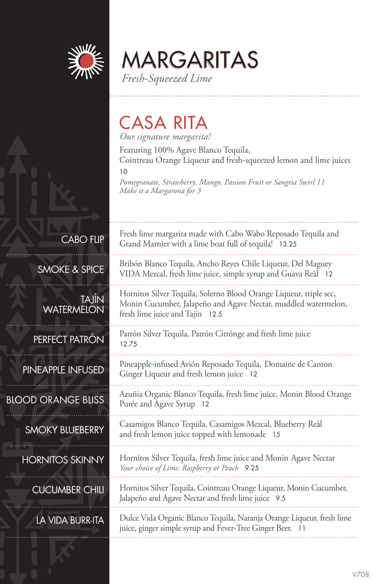

MARGARITAS

*Fresh-Squeezed Lime*

### CASA RITA

*Our signature margarita!*

Featuring 100% Agave Blanco Tequila, Cointreau Orange Liqueur and fresh-squeezed lemon and lime juices

10

*Pomegranate, Strawberry, Mango, Passion Fruit or Sangria Swirl 11 Make it a Margarona for 3*

CABO FLIP

SMOKE & SPICE

TAJÍN **WATERMELON** 

#### PERFECT PATRÓN

PINEAPPLE INFUSED

#### BLOOD ORANGE BLISS

#### SMOKY BLUEBERRY

HORNITOS SKINNY

CUCUMBER CHILI

### LA VIDA BURR-ITA

Fresh lime margarita made with Cabo Wabo Reposado Tequila and Grand Marnier with a lime boat full of tequila! 13.25

Bribón Blanco Tequila, Ancho Reyes Chile Liqueur, Del Maguey VIDA Mezcal, fresh lime juice, simple syrup and Guava Reàl 12

Hornitos Silver Tequila, Solerno Blood Orange Liqueur, triple sec, Monin Cucumber, Jalapeño and Agave Nectar, muddled watermelon, fresh lime juice and Tajín 12.5

Patrón Silver Tequila, Patrón Citrónge and fresh lime juice 12.75

Pineapple-infused Avión Reposado Tequila, Domaine de Canton Ginger Liqueur and fresh lemon juice 12

Azuñia Organic Blanco Tequila, fresh lime juice, Monin Blood Orange Purée and Agave Syrup 12

Casamigos Blanco Tequila, Casamigos Mezcal, Blueberry Reàl and fresh lemon juice topped with lemonade 15

Hornitos Silver Tequila, fresh lime juice and Monin Agave Nectar *Your choice of Lime, Raspberry or Peach* 9.25

Hornitos Silver Tequila, Cointreau Orange Liqueur, Monin Cucumber, Jalapeño and Agave Nectar and fresh lime juice 9.5

Dulce Vida Organic Blanco Tequila, Naranja Orange Liqueur, fresh lime juice, ginger simple syrup and Fever-Tree Ginger Beer. 11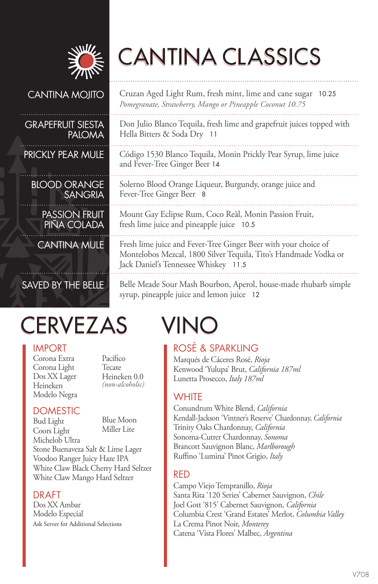

# CANTINA CLASSICS

#### CANTINA MOJITO

#### GRAPEFRUIT SIESTA PALOMA

PRICKLY PEAR MULE

BLOOD ORANGE SANGRIA

PASSION FRUIT PINA COLADA

CANTINA MULE

### SAVED BY THE BELLE

## CERVEZAS VINO

#### IMPORT

Corona Extra Corona Light Dos XX Lager Heineken Modelo Negra Pacífico Tecate Heineken 0.0 *(non-alcoholic)*

#### **DOMESTIC**

Bud Light Coors Light Blue Moon Miller Lite

Michelob Ultra Stone Buenaveza Salt & Lime Lager Voodoo Ranger Juicy Haze IPA White Claw Black Cherry Hard Seltzer White Claw Mango Hard Seltzer

#### DRAFT

Dos XX Ambar Modelo Especial Ask Server for Additional Selections

Cruzan Aged Light Rum, fresh mint, lime and cane sugar 10.25 *Pomegranate, Strawberry, Mango or Pineapple Coconut 10.75*

Don Julio Blanco Tequila, fresh lime and grapefruit juices topped with Hella Bitters & Soda Dry 11

Código 1530 Blanco Tequila, Monin Prickly Pear Syrup, lime juice and Fever-Tree Ginger Beer 14

Solerno Blood Orange Liqueur, Burgundy, orange juice and Fever-Tree Ginger Beer 8

Mount Gay Eclipse Rum, Coco Reàl, Monin Passion Fruit, fresh lime juice and pineapple juice 10.5

Fresh lime juice and Fever-Tree Ginger Beer with your choice of Montelobos Mezcal, 1800 Silver Tequila, Tito's Handmade Vodka or Jack Daniel's Tennessee Whiskey 11.5

Belle Meade Sour Mash Bourbon, Aperol, house-made rhubarb simple syrup, pineapple juice and lemon juice 12

#### ROSÉ & SPARKLING

Marqués de Cáceres Rosé, *Rioja* Kenwood 'Yulupa' Brut, *California 187ml* Lunetta Prosecco, *Italy 187ml*

#### **WHITE**

Conundrum White Blend, *California* Kendall-Jackson 'Vintner's Reserve' Chardonnay, *California* Trinity Oaks Chardonnay, *California* Sonoma-Cutrer Chardonnay, *Sonoma* Brancott Sauvignon Blanc, *Marlborough* Ruffino 'Lumina' Pinot Grigio, *Italy*

#### RED

Campo Viejo Tempranillo, *Rioja* Santa Rita '120 Series' Cabernet Sauvignon, *Chile* Joel Gott '815' Cabernet Sauvignon, *California* Columbia Crest 'Grand Estates' Merlot, *Columbia Valley* La Crema Pinot Noir, *Monterey* Catena 'Vista Flores' Malbec, *Argentina*